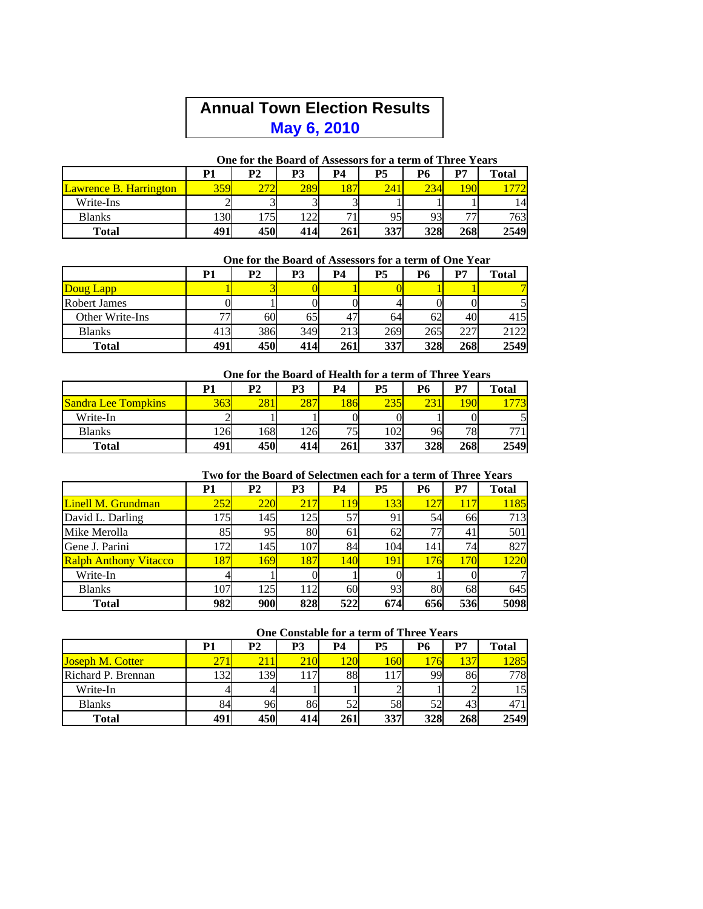# **Annual Town Election Results May 6, 2010**

|                               |            | One for the board of Assessors for a term of Three Tears |     |     |     |     |     |              |
|-------------------------------|------------|----------------------------------------------------------|-----|-----|-----|-----|-----|--------------|
|                               | P1         | P <sub>2</sub>                                           | P3  | P4  | P5  | Р6  | P7  | <b>Total</b> |
| <b>Lawrence B. Harrington</b> | <b>359</b> |                                                          | 289 | 187 | 24  | 234 |     |              |
| Write-Ins                     |            |                                                          |     |     |     |     |     | 14           |
| <b>Blanks</b>                 | <b>30</b>  | 75                                                       | 22  | −   | 95  | 93  | --  | 763          |
| Total                         | 491        | 450                                                      | 414 | 261 | 337 | 328 | 268 | 2549         |

## **One for the Board of Assessors for a term of Three Years**

#### **One for the Board of Assessors for a term of One Year**

|                     | P1  | <b>P2</b> | P3  | P4  | P5  | Р6  | P7  | Total |
|---------------------|-----|-----------|-----|-----|-----|-----|-----|-------|
| Doug Lapp           |     |           |     |     |     |     |     |       |
| <b>Robert James</b> |     |           |     |     |     |     |     |       |
| Other Write-Ins     | 77  | 60        | 65  | 47  | 64  | 62  | 40  | 415   |
| <b>Blanks</b>       | 413 | 386       | 349 | 213 | 269 | 265 | 227 | 2122  |
| <b>Total</b>        | 491 | 450       | 414 | 261 | 337 | 328 | 268 | 2549  |

#### **One for the Board of Health for a term of Three Years**

|                            | P1     | P <sub>2</sub> | P3  | P4  | P5          | P6  | P7             | Total |
|----------------------------|--------|----------------|-----|-----|-------------|-----|----------------|-------|
| <b>Sandra Lee Tompkins</b> | 363    | 281            | 287 | 86  | 27<br>د ل ک |     | $\overline{Q}$ |       |
| Write-In                   | $\sim$ |                |     |     |             |     |                |       |
| <b>Blanks</b>              | 126    | 168            | 126 | 75  | 102         | 96  | 78             | חח    |
| <b>Total</b>               | 491    | 450            | 414 | 261 | 337         | 328 | 268            | 2549  |

### **Two for the Board of Selectmen each for a term of Three Years**

|                              | P1  | <b>P2</b> | P3   | P4  | P5  | Р6  | P7  | <b>Total</b> |
|------------------------------|-----|-----------|------|-----|-----|-----|-----|--------------|
| Linell M. Grundman           | 252 | 220       | 217  | 119 | 133 | 127 |     | 1185         |
| David L. Darling             | 175 | 145       | 1251 | 57  | 91  | 54  | 66  | 713          |
| Mike Merolla                 | 85  | 95        | 80   | 61  | 62  | 77  | 41  | 501          |
| Gene J. Parini               | 172 | 145       | 107  | 84  | 104 | 141 | 74  | 827          |
| <b>Ralph Anthony Vitacco</b> | 187 | 169       | 187  | 140 | 191 | 176 | 170 | 1220         |
| Write-In                     |     |           |      |     |     |     |     | 7            |
| <b>Blanks</b>                | 107 | 125       | 112  | 60  | 93  | 80  | 68  | 645          |
| <b>Total</b>                 | 982 | 900       | 828  | 522 | 674 | 656 | 536 | 5098         |

#### **One Constable for a term of Three Years**

|                         | P1   | P <sub>2</sub> | P3  | P4  | P5  | Р6  | P7  | <b>Total</b> |
|-------------------------|------|----------------|-----|-----|-----|-----|-----|--------------|
| <b>Joseph M. Cotter</b> |      | 21             | 210 | 120 |     | 76  |     | 1285         |
| Richard P. Brennan      | 1321 | 1391           | 117 | 88  |     | 99  | 86  | 778          |
| Write-In                |      |                |     |     |     |     |     | 15           |
| <b>Blanks</b>           | 84   | 96             | 86  | 52  | 58  | 52  | 43  | 471          |
| <b>Total</b>            | 491  | 450            | 414 | 261 | 337 | 328 | 268 | 2549         |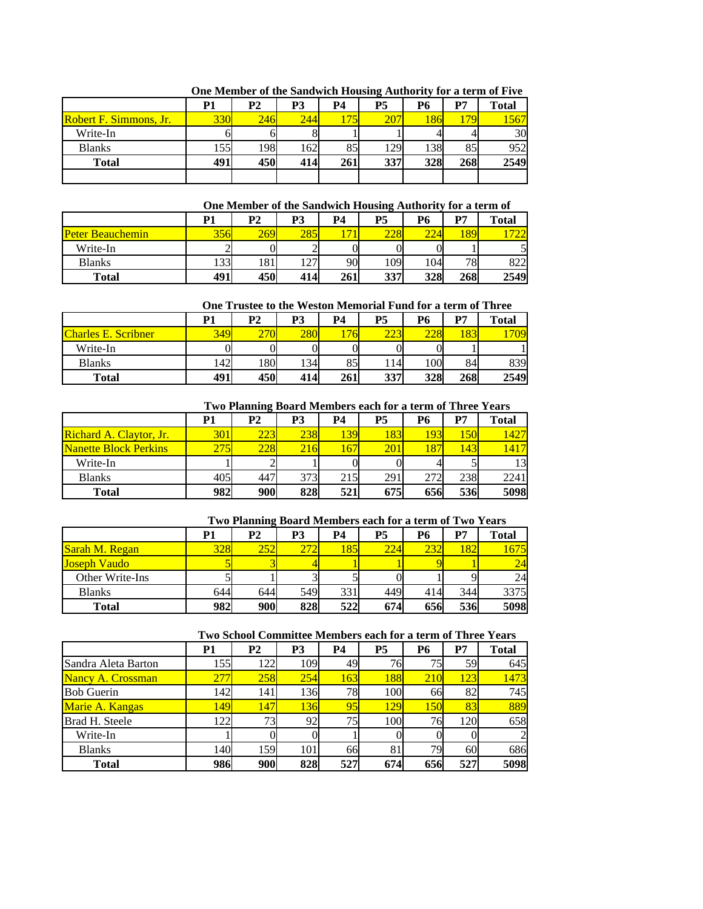|                               | P1  | P <sub>2</sub> | P3  | P4  | P5  | Р6  | P7  | <b>Total</b> |
|-------------------------------|-----|----------------|-----|-----|-----|-----|-----|--------------|
| <b>Robert F. Simmons, Jr.</b> | 330 | 246            | 244 | 175 | 207 | 86  |     | 1567         |
| Write-In                      |     |                |     |     |     |     |     | 30           |
| <b>Blanks</b>                 | 155 | 198            | 162 | 85  | 129 | 138 | 85  | 952          |
| <b>Total</b>                  | 491 | 450            | 414 | 261 | 337 | 328 | 268 | 2549         |
|                               |     |                |     |     |     |     |     |              |

**One Member of the Sandwich Housing Authority for a term of Five** 

#### **One Member of the Sandwich Housing Authority for a term of**

|                         | P1     | P <sub>2</sub> | P3     | P4    | P5  | P6  | D7               | <b>Total</b>     |
|-------------------------|--------|----------------|--------|-------|-----|-----|------------------|------------------|
| <b>Peter Beauchemin</b> | 356    | 269            | 285    | $-11$ | ററി | nn  | 189 <sup>1</sup> | $\sqrt{2}$<br>∠∠ |
| Write-In                | $\sim$ |                |        |       |     |     |                  |                  |
| <b>Blanks</b>           | 133    | 181            | $\sim$ | 90    | 109 | 104 | 78               | 822              |
| <b>Total</b>            | 491    | 450            | 414    | 261   | 337 | 328 | 268              | 2549             |

#### **One Trustee to the Weston Memorial Fund for a term of Three**

|                            | <b>P1</b> | P <sub>2</sub>     | P3  | P4  | P5           | P <sub>6</sub> | D7              | Total |
|----------------------------|-----------|--------------------|-----|-----|--------------|----------------|-----------------|-------|
| <b>Charles E. Scribner</b> | 349       | $\sqrt{2}$<br>21 I | 280 | 76  | רממ<br>ل کاک | 228            | $\overline{O}2$ | 709   |
| Write-In                   |           |                    | 0   |     |              |                |                 |       |
| <b>Blanks</b>              | 142       | 180                | 134 | 85  | 1141         | 100            | 84              | 839   |
| <b>Total</b>               | 491       | 450                | 414 | 261 | 337          | 328            | 268             | 2549  |

#### **Two Planning Board Members each for a term of Three Years**

|                              | P1         | P <sub>2</sub> | P3  | P4   | P5  | Р6  | P7  | <b>Total</b> |
|------------------------------|------------|----------------|-----|------|-----|-----|-----|--------------|
| Richard A. Claytor, Jr.      | <b>301</b> | 223            | 238 | 139  | 183 | 193 | 150 | 1427         |
| <b>Nanette Block Perkins</b> | 275        | 228            | 216 | 167' | 201 |     | 143 | 4417         |
| Write-In                     |            |                |     |      |     |     |     |              |
| <b>Blanks</b>                | 405        | 447            | 373 | 215  | 291 | 272 | 238 | 2241         |
| <b>Total</b>                 | 982        | <b>900</b>     | 828 | 521  | 675 | 656 | 536 | 5098         |

#### **Two Planning Board Members each for a term of Two Years**

|                     | P1  | P <sub>2</sub> | P3  | P4  | P5  | Р6  | P7  | <b>Total</b> |
|---------------------|-----|----------------|-----|-----|-----|-----|-----|--------------|
| Sarah M. Regan      | 328 | 252            | 272 | 185 | 224 | 232 | 182 | 1675         |
| <b>Joseph Vaudo</b> |     |                |     |     |     |     |     | 24           |
| Other Write-Ins     |     |                |     |     |     |     |     | 24           |
| <b>Blanks</b>       | 644 | 644            | 549 | 331 | 449 | 414 | 344 | 3375         |
| Total               | 982 | 900            | 828 | 522 | 674 | 656 | 536 | 5098         |

#### **Two School Committee Members each for a term of Three Years**

|                        | Р1         | <b>P2</b> | P3         | <b>P4</b> | <b>P5</b> | <b>P6</b>  | P7  | <b>Total</b>   |
|------------------------|------------|-----------|------------|-----------|-----------|------------|-----|----------------|
| Sandra Aleta Barton    | 155I       | 122       | 109        | 49        | 76        | 75         | 59  | 645            |
| Nancy A. Crossman      | 277        | 258       | 254        | 163       | 188       | <b>210</b> | 123 | 1473           |
| <b>Bob Guerin</b>      | 142        | 141       | 136        | 78        | 100       | 66         | 82  | 745            |
| <b>Marie A. Kangas</b> | 149        | 147       | 136        | 95        | 129       | 150        | 83  | 889            |
| Brad H. Steele         | 1221       |           | 92         | 75        | 100       | 76         | 120 | 658            |
| Write-In               |            |           |            |           |           |            |     | $\overline{c}$ |
| <b>Blanks</b>          | 140        | 159       | <b>101</b> | 66        | 81        | 79         | 60  | 686            |
| <b>Total</b>           | <b>986</b> | 900       | 828        | 527       | 674       | 656        | 527 | 5098           |